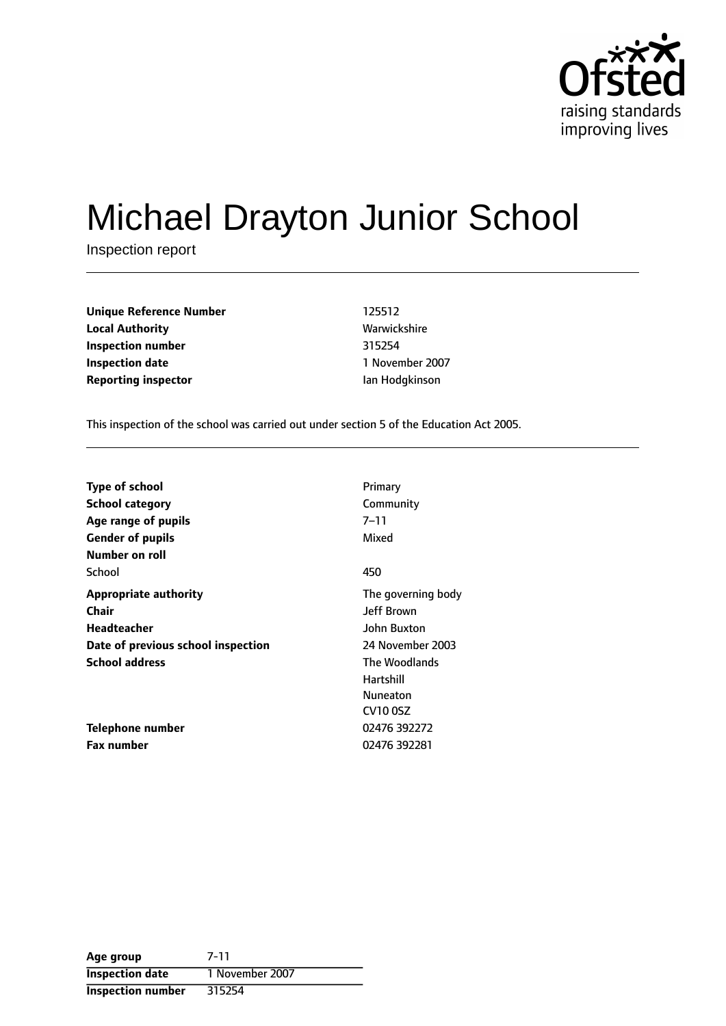

# Michael Drayton Junior School

Inspection report

| <b>Unique Reference Number</b> | 125512         |
|--------------------------------|----------------|
| <b>Local Authority</b>         | Warwickshire   |
| Inspection number              | 315254         |
| <b>Inspection date</b>         | 1 November 200 |
| <b>Reporting inspector</b>     | lan Hodgkinson |

**Local Authority** Warwickshire **Inspection date** 1 November 2007

This inspection of the school was carried out under section 5 of the Education Act 2005.

| Type of school                     | Primary            |
|------------------------------------|--------------------|
| <b>School category</b>             | Community          |
| Age range of pupils                | $7 - 11$           |
| <b>Gender of pupils</b>            | Mixed              |
| Number on roll                     |                    |
| School                             | 450                |
| <b>Appropriate authority</b>       | The governing body |
| Chair                              | <b>Jeff Brown</b>  |
| Headteacher                        | John Buxton        |
| Date of previous school inspection | 24 November 2003   |
| <b>School address</b>              | The Woodlands      |
|                                    | Hartshill          |
|                                    | Nuneaton           |
|                                    | CV10 0SZ           |
| Telephone number                   | 02476 392272       |
| <b>Fax number</b>                  | 02476 392281       |

| Age group              | 7-11            |
|------------------------|-----------------|
| <b>Inspection date</b> | 1 November 2007 |
| Inspection number      | 315254          |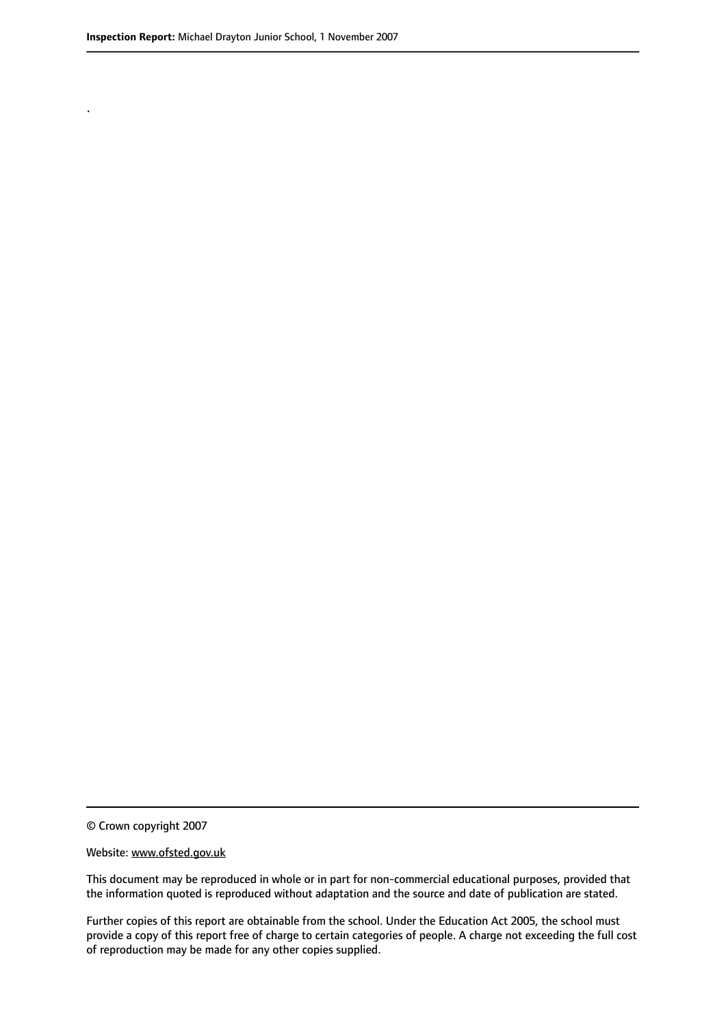.

© Crown copyright 2007

#### Website: www.ofsted.gov.uk

This document may be reproduced in whole or in part for non-commercial educational purposes, provided that the information quoted is reproduced without adaptation and the source and date of publication are stated.

Further copies of this report are obtainable from the school. Under the Education Act 2005, the school must provide a copy of this report free of charge to certain categories of people. A charge not exceeding the full cost of reproduction may be made for any other copies supplied.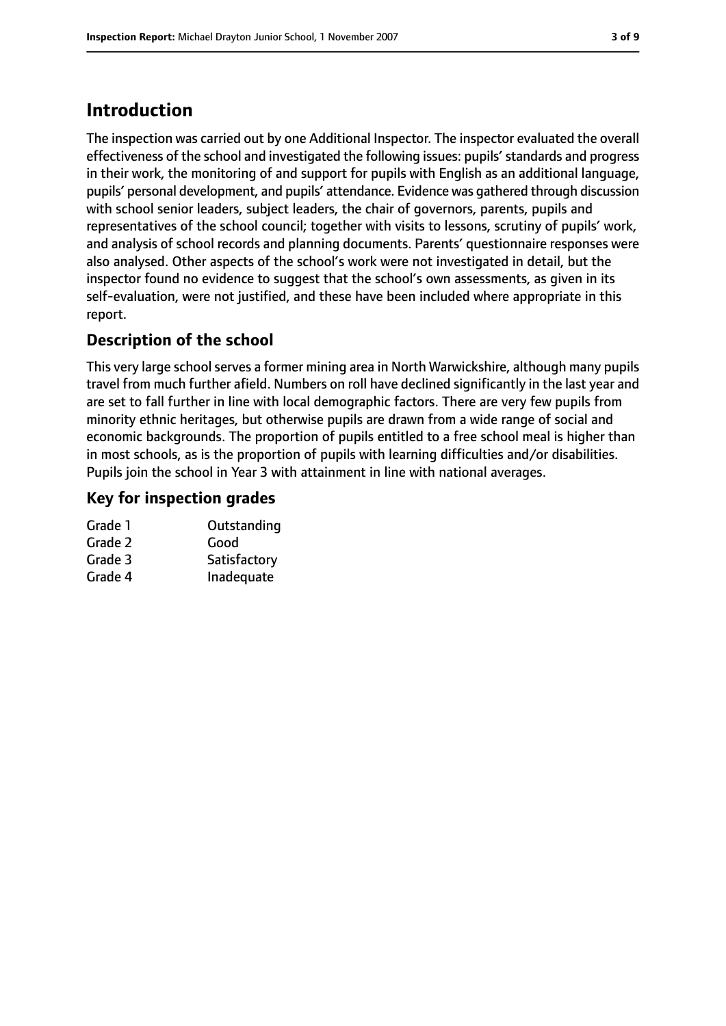# **Introduction**

The inspection was carried out by one Additional Inspector. The inspector evaluated the overall effectiveness of the school and investigated the following issues: pupils'standards and progress in their work, the monitoring of and support for pupils with English as an additional language, pupils' personal development, and pupils' attendance. Evidence was gathered through discussion with school senior leaders, subject leaders, the chair of governors, parents, pupils and representatives of the school council; together with visits to lessons, scrutiny of pupils' work, and analysis of school records and planning documents. Parents' questionnaire responses were also analysed. Other aspects of the school's work were not investigated in detail, but the inspector found no evidence to suggest that the school's own assessments, as given in its self-evaluation, were not justified, and these have been included where appropriate in this report.

# **Description of the school**

This very large school serves a former mining area in North Warwickshire, although many pupils travel from much further afield. Numbers on roll have declined significantly in the last year and are set to fall further in line with local demographic factors. There are very few pupils from minority ethnic heritages, but otherwise pupils are drawn from a wide range of social and economic backgrounds. The proportion of pupils entitled to a free school meal is higher than in most schools, as is the proportion of pupils with learning difficulties and/or disabilities. Pupils join the school in Year 3 with attainment in line with national averages.

# **Key for inspection grades**

| Grade 1 | Outstanding  |
|---------|--------------|
| Grade 2 | Good         |
| Grade 3 | Satisfactory |
| Grade 4 | Inadequate   |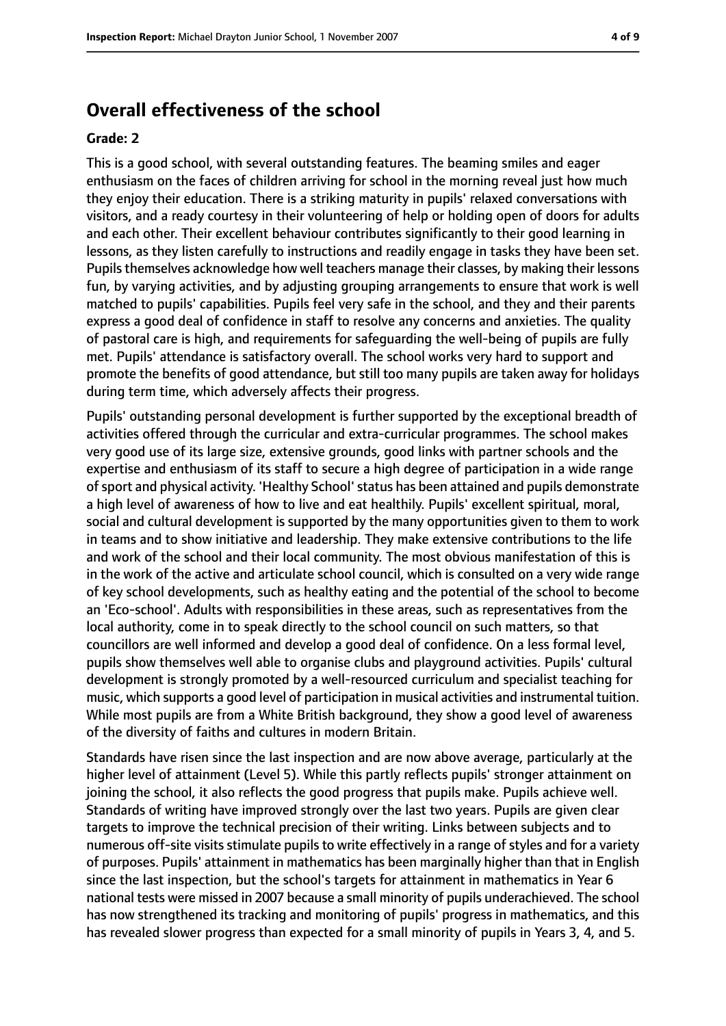# **Overall effectiveness of the school**

#### **Grade: 2**

This is a good school, with several outstanding features. The beaming smiles and eager enthusiasm on the faces of children arriving for school in the morning reveal just how much they enjoy their education. There is a striking maturity in pupils' relaxed conversations with visitors, and a ready courtesy in their volunteering of help or holding open of doors for adults and each other. Their excellent behaviour contributes significantly to their good learning in lessons, as they listen carefully to instructions and readily engage in tasks they have been set. Pupils themselves acknowledge how well teachers manage their classes, by making their lessons fun, by varying activities, and by adjusting grouping arrangements to ensure that work is well matched to pupils' capabilities. Pupils feel very safe in the school, and they and their parents express a good deal of confidence in staff to resolve any concerns and anxieties. The quality of pastoral care is high, and requirements for safeguarding the well-being of pupils are fully met. Pupils' attendance is satisfactory overall. The school works very hard to support and promote the benefits of good attendance, but still too many pupils are taken away for holidays during term time, which adversely affects their progress.

Pupils' outstanding personal development is further supported by the exceptional breadth of activities offered through the curricular and extra-curricular programmes. The school makes very good use of its large size, extensive grounds, good links with partner schools and the expertise and enthusiasm of its staff to secure a high degree of participation in a wide range ofsport and physical activity. 'Healthy School'status has been attained and pupils demonstrate a high level of awareness of how to live and eat healthily. Pupils' excellent spiritual, moral, social and cultural development is supported by the many opportunities given to them to work in teams and to show initiative and leadership. They make extensive contributions to the life and work of the school and their local community. The most obvious manifestation of this is in the work of the active and articulate school council, which is consulted on a very wide range of key school developments, such as healthy eating and the potential of the school to become an 'Eco-school'. Adults with responsibilities in these areas, such as representatives from the local authority, come in to speak directly to the school council on such matters, so that councillors are well informed and develop a good deal of confidence. On a less formal level, pupils show themselves well able to organise clubs and playground activities. Pupils' cultural development is strongly promoted by a well-resourced curriculum and specialist teaching for music, which supports a good level of participation in musical activities and instrumental tuition. While most pupils are from a White British background, they show a good level of awareness of the diversity of faiths and cultures in modern Britain.

Standards have risen since the last inspection and are now above average, particularly at the higher level of attainment (Level 5). While this partly reflects pupils' stronger attainment on joining the school, it also reflects the good progress that pupils make. Pupils achieve well. Standards of writing have improved strongly over the last two years. Pupils are given clear targets to improve the technical precision of their writing. Links between subjects and to numerous off-site visits stimulate pupils to write effectively in a range of styles and for a variety of purposes. Pupils' attainment in mathematics has been marginally higher than that in English since the last inspection, but the school's targets for attainment in mathematics in Year 6 national tests were missed in 2007 because a small minority of pupils underachieved. The school has now strengthened its tracking and monitoring of pupils' progress in mathematics, and this has revealed slower progress than expected for a small minority of pupils in Years 3, 4, and 5.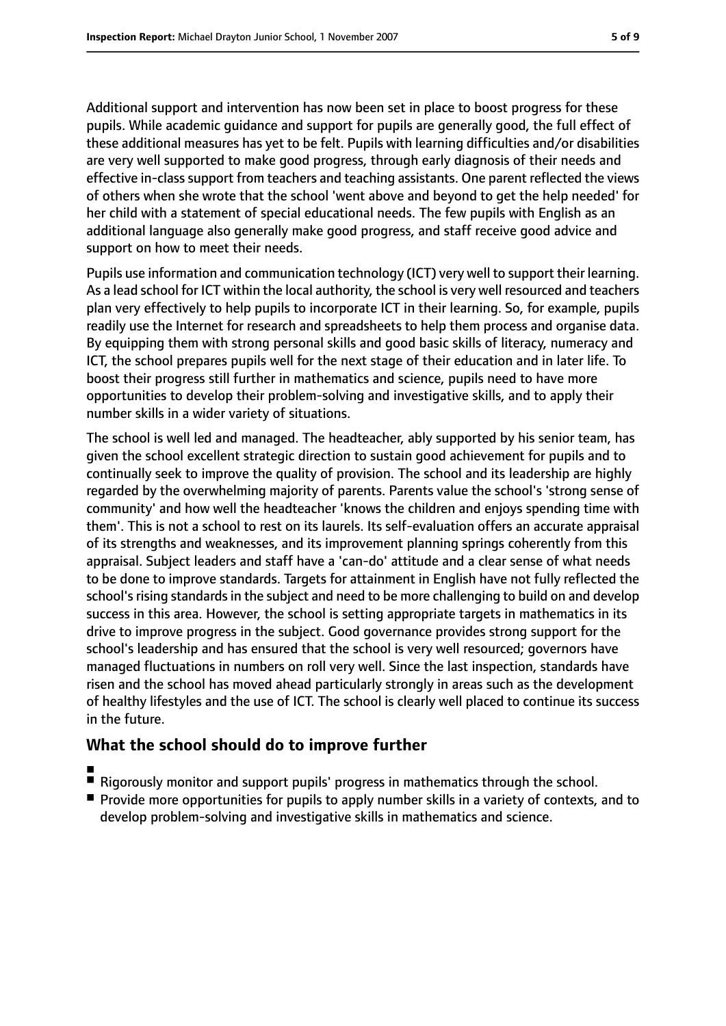Additional support and intervention has now been set in place to boost progress for these pupils. While academic guidance and support for pupils are generally good, the full effect of these additional measures has yet to be felt. Pupils with learning difficulties and/or disabilities are very well supported to make good progress, through early diagnosis of their needs and effective in-class support from teachers and teaching assistants. One parent reflected the views of others when she wrote that the school 'went above and beyond to get the help needed' for her child with a statement of special educational needs. The few pupils with English as an additional language also generally make good progress, and staff receive good advice and support on how to meet their needs.

Pupils use information and communication technology (ICT) very well to support their learning. As a lead school for ICT within the local authority, the school is very well resourced and teachers plan very effectively to help pupils to incorporate ICT in their learning. So, for example, pupils readily use the Internet for research and spreadsheets to help them process and organise data. By equipping them with strong personal skills and good basic skills of literacy, numeracy and ICT, the school prepares pupils well for the next stage of their education and in later life. To boost their progress still further in mathematics and science, pupils need to have more opportunities to develop their problem-solving and investigative skills, and to apply their number skills in a wider variety of situations.

The school is well led and managed. The headteacher, ably supported by his senior team, has given the school excellent strategic direction to sustain good achievement for pupils and to continually seek to improve the quality of provision. The school and its leadership are highly regarded by the overwhelming majority of parents. Parents value the school's 'strong sense of community' and how well the headteacher 'knows the children and enjoys spending time with them'. This is not a school to rest on its laurels. Its self-evaluation offers an accurate appraisal of its strengths and weaknesses, and its improvement planning springs coherently from this appraisal. Subject leaders and staff have a 'can-do' attitude and a clear sense of what needs to be done to improve standards. Targets for attainment in English have not fully reflected the school's rising standards in the subject and need to be more challenging to build on and develop success in this area. However, the school is setting appropriate targets in mathematics in its drive to improve progress in the subject. Good governance provides strong support for the school's leadership and has ensured that the school is very well resourced; governors have managed fluctuations in numbers on roll very well. Since the last inspection, standards have risen and the school has moved ahead particularly strongly in areas such as the development of healthy lifestyles and the use of ICT. The school is clearly well placed to continue its success in the future.

# **What the school should do to improve further**

- ■
- Rigorously monitor and support pupils' progress in mathematics through the school.
- Provide more opportunities for pupils to apply number skills in a variety of contexts, and to develop problem-solving and investigative skills in mathematics and science.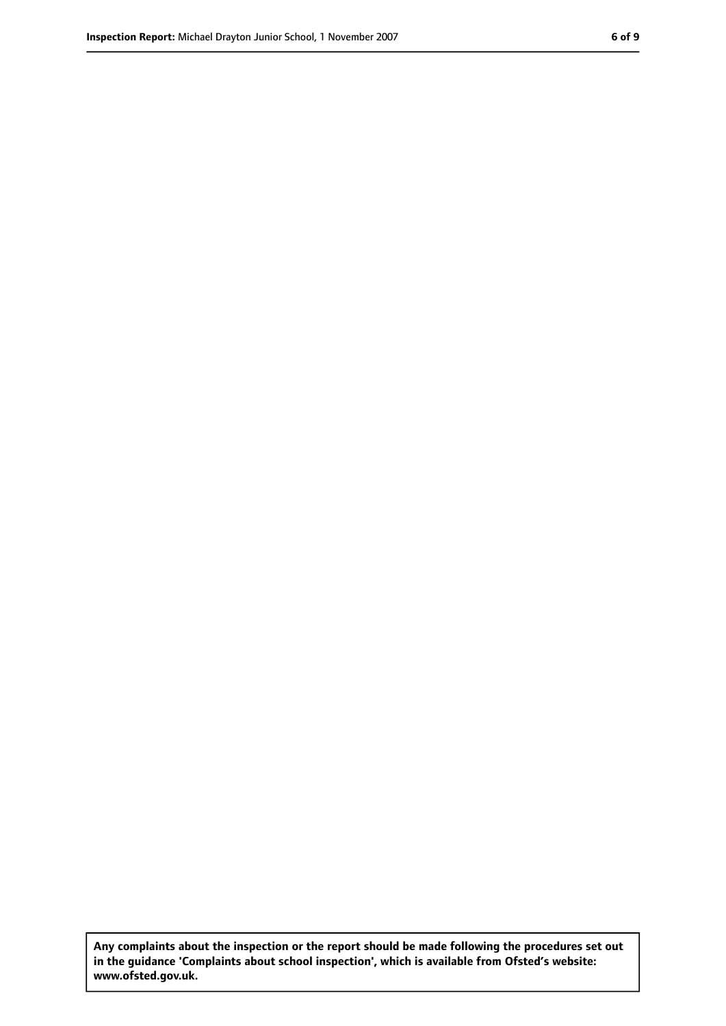**Any complaints about the inspection or the report should be made following the procedures set out in the guidance 'Complaints about school inspection', which is available from Ofsted's website: www.ofsted.gov.uk.**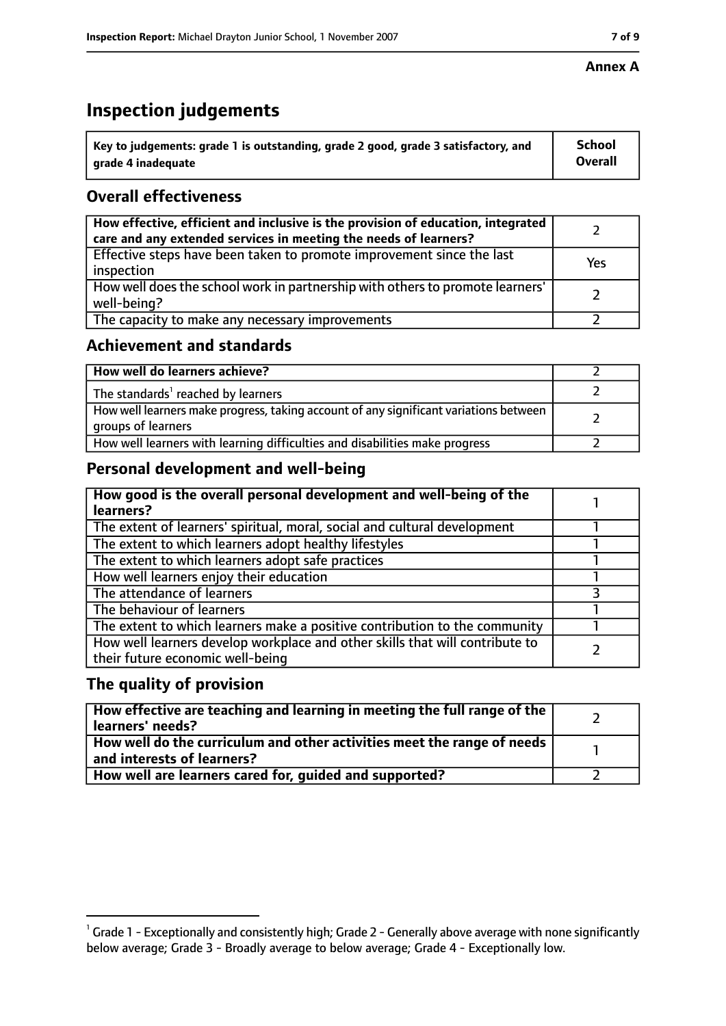# **Inspection judgements**

| $^{\backprime}$ Key to judgements: grade 1 is outstanding, grade 2 good, grade 3 satisfactory, and | School         |
|----------------------------------------------------------------------------------------------------|----------------|
| arade 4 inadequate                                                                                 | <b>Overall</b> |

# **Overall effectiveness**

| How effective, efficient and inclusive is the provision of education, integrated<br>care and any extended services in meeting the needs of learners? |     |
|------------------------------------------------------------------------------------------------------------------------------------------------------|-----|
| Effective steps have been taken to promote improvement since the last<br>inspection                                                                  | Yes |
| How well does the school work in partnership with others to promote learners'<br>well-being?                                                         |     |
| The capacity to make any necessary improvements                                                                                                      |     |

# **Achievement and standards**

| How well do learners achieve?                                                                               |  |
|-------------------------------------------------------------------------------------------------------------|--|
| The standards <sup>1</sup> reached by learners                                                              |  |
| How well learners make progress, taking account of any significant variations between<br>groups of learners |  |
| How well learners with learning difficulties and disabilities make progress                                 |  |

# **Personal development and well-being**

| How good is the overall personal development and well-being of the<br>learners?                                  |  |
|------------------------------------------------------------------------------------------------------------------|--|
| The extent of learners' spiritual, moral, social and cultural development                                        |  |
| The extent to which learners adopt healthy lifestyles                                                            |  |
| The extent to which learners adopt safe practices                                                                |  |
| How well learners enjoy their education                                                                          |  |
| The attendance of learners                                                                                       |  |
| The behaviour of learners                                                                                        |  |
| The extent to which learners make a positive contribution to the community                                       |  |
| How well learners develop workplace and other skills that will contribute to<br>their future economic well-being |  |

### **The quality of provision**

| How effective are teaching and learning in meeting the full range of the<br>learners' needs?          |  |
|-------------------------------------------------------------------------------------------------------|--|
| How well do the curriculum and other activities meet the range of needs<br>and interests of learners? |  |
| How well are learners cared for, guided and supported?                                                |  |

 $^1$  Grade 1 - Exceptionally and consistently high; Grade 2 - Generally above average with none significantly below average; Grade 3 - Broadly average to below average; Grade 4 - Exceptionally low.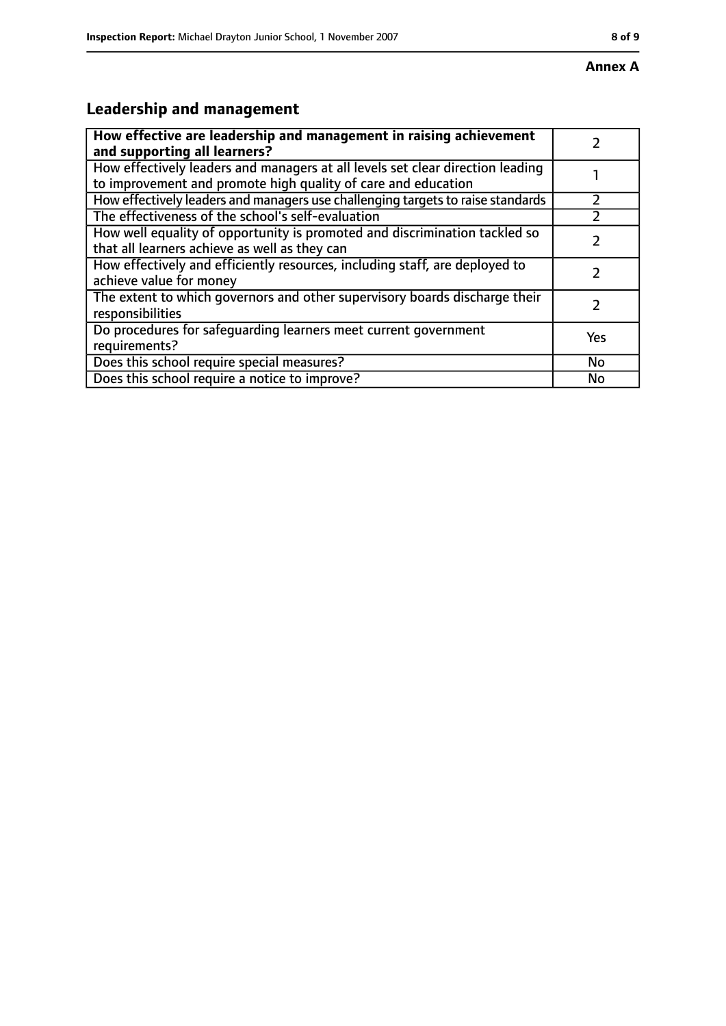# **Leadership and management**

| How effective are leadership and management in raising achievement<br>and supporting all learners?                                              |           |
|-------------------------------------------------------------------------------------------------------------------------------------------------|-----------|
| How effectively leaders and managers at all levels set clear direction leading<br>to improvement and promote high quality of care and education |           |
| How effectively leaders and managers use challenging targets to raise standards                                                                 |           |
| The effectiveness of the school's self-evaluation                                                                                               |           |
| How well equality of opportunity is promoted and discrimination tackled so<br>that all learners achieve as well as they can                     |           |
| How effectively and efficiently resources, including staff, are deployed to<br>achieve value for money                                          |           |
| The extent to which governors and other supervisory boards discharge their<br>responsibilities                                                  |           |
| Do procedures for safequarding learners meet current government<br>requirements?                                                                | Yes       |
| Does this school require special measures?                                                                                                      | <b>No</b> |
| Does this school require a notice to improve?                                                                                                   | No        |